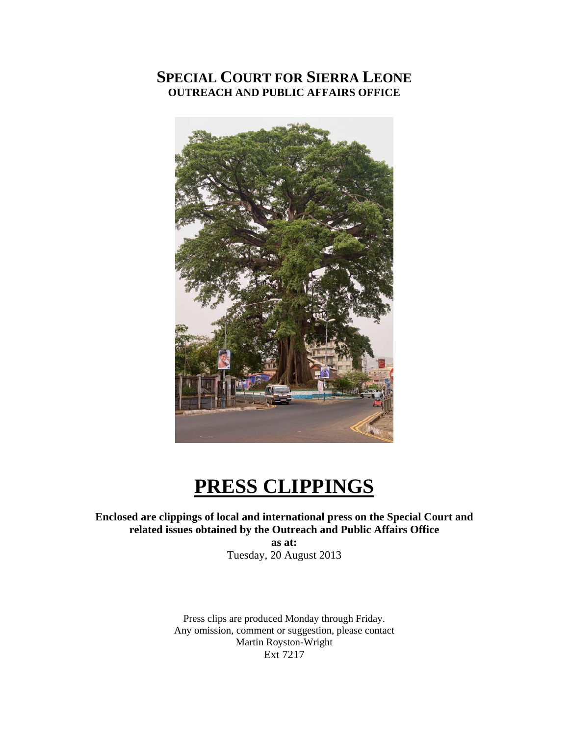# **SPECIAL COURT FOR SIERRA LEONE OUTREACH AND PUBLIC AFFAIRS OFFICE**



# **PRESS CLIPPINGS**

**Enclosed are clippings of local and international press on the Special Court and related issues obtained by the Outreach and Public Affairs Office** 

> **as at:**  Tuesday, 20 August 2013

Press clips are produced Monday through Friday. Any omission, comment or suggestion, please contact Martin Royston-Wright Ext 7217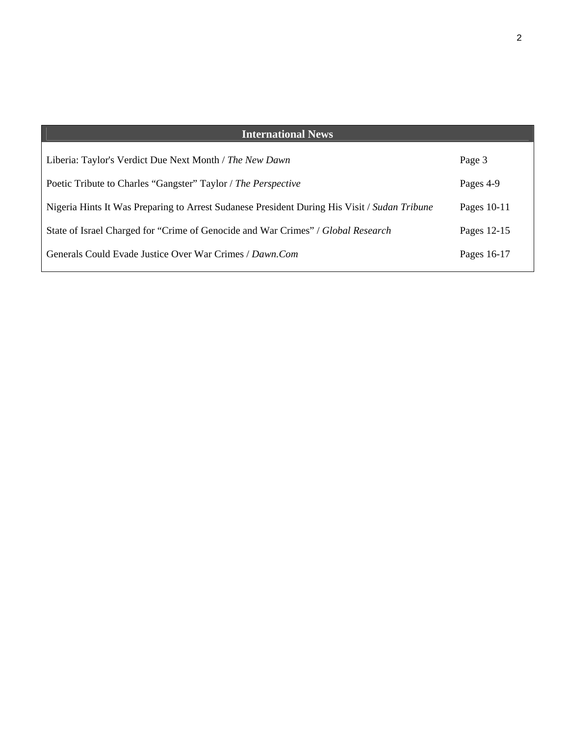| <b>International News</b>                                                                    |               |
|----------------------------------------------------------------------------------------------|---------------|
| Liberia: Taylor's Verdict Due Next Month / The New Dawn                                      | Page 3        |
| Poetic Tribute to Charles "Gangster" Taylor / The Perspective                                | Pages 4-9     |
| Nigeria Hints It Was Preparing to Arrest Sudanese President During His Visit / Sudan Tribune | Pages $10-11$ |
| State of Israel Charged for "Crime of Genocide and War Crimes" / Global Research             | Pages 12-15   |
| Generals Could Evade Justice Over War Crimes / Dawn.Com                                      | Pages 16-17   |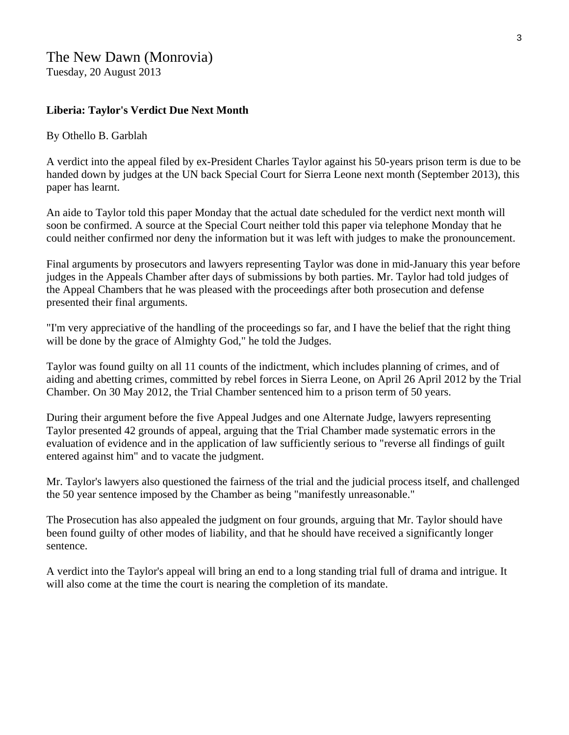#### **Liberia: Taylor's Verdict Due Next Month**

#### By Othello B. Garblah

A verdict into the appeal filed by ex-President Charles Taylor against his 50-years prison term is due to be handed down by judges at the UN back Special Court for Sierra Leone next month (September 2013), this paper has learnt.

An aide to Taylor told this paper Monday that the actual date scheduled for the verdict next month will soon be confirmed. A source at the Special Court neither told this paper via telephone Monday that he could neither confirmed nor deny the information but it was left with judges to make the pronouncement.

Final arguments by prosecutors and lawyers representing Taylor was done in mid-January this year before judges in the Appeals Chamber after days of submissions by both parties. Mr. Taylor had told judges of the Appeal Chambers that he was pleased with the proceedings after both prosecution and defense presented their final arguments.

"I'm very appreciative of the handling of the proceedings so far, and I have the belief that the right thing will be done by the grace of Almighty God," he told the Judges.

Taylor was found guilty on all 11 counts of the indictment, which includes planning of crimes, and of aiding and abetting crimes, committed by rebel forces in Sierra Leone, on April 26 April 2012 by the Trial Chamber. On 30 May 2012, the Trial Chamber sentenced him to a prison term of 50 years.

During their argument before the five Appeal Judges and one Alternate Judge, lawyers representing Taylor presented 42 grounds of appeal, arguing that the Trial Chamber made systematic errors in the evaluation of evidence and in the application of law sufficiently serious to "reverse all findings of guilt entered against him" and to vacate the judgment.

Mr. Taylor's lawyers also questioned the fairness of the trial and the judicial process itself, and challenged the 50 year sentence imposed by the Chamber as being "manifestly unreasonable."

The Prosecution has also appealed the judgment on four grounds, arguing that Mr. Taylor should have been found guilty of other modes of liability, and that he should have received a significantly longer sentence.

A verdict into the Taylor's appeal will bring an end to a long standing trial full of drama and intrigue. It will also come at the time the court is nearing the completion of its mandate.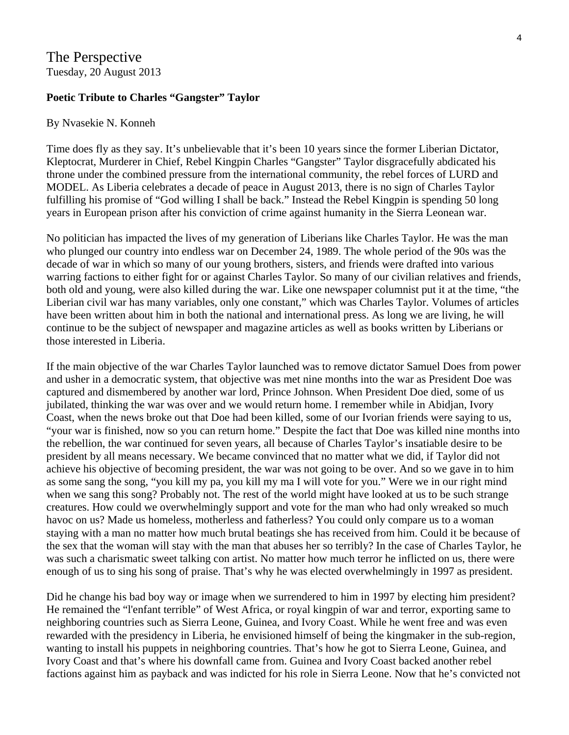### The Perspective Tuesday, 20 August 2013

#### **Poetic Tribute to Charles "Gangster" Taylor**

#### By Nvasekie N. Konneh

Time does fly as they say. It's unbelievable that it's been 10 years since the former Liberian Dictator, Kleptocrat, Murderer in Chief, Rebel Kingpin Charles "Gangster" Taylor disgracefully abdicated his throne under the combined pressure from the international community, the rebel forces of LURD and MODEL. As Liberia celebrates a decade of peace in August 2013, there is no sign of Charles Taylor fulfilling his promise of "God willing I shall be back." Instead the Rebel Kingpin is spending 50 long years in European prison after his conviction of crime against humanity in the Sierra Leonean war.

No politician has impacted the lives of my generation of Liberians like Charles Taylor. He was the man who plunged our country into endless war on December 24, 1989. The whole period of the 90s was the decade of war in which so many of our young brothers, sisters, and friends were drafted into various warring factions to either fight for or against Charles Taylor. So many of our civilian relatives and friends, both old and young, were also killed during the war. Like one newspaper columnist put it at the time, "the Liberian civil war has many variables, only one constant," which was Charles Taylor. Volumes of articles have been written about him in both the national and international press. As long we are living, he will continue to be the subject of newspaper and magazine articles as well as books written by Liberians or those interested in Liberia.

If the main objective of the war Charles Taylor launched was to remove dictator Samuel Does from power and usher in a democratic system, that objective was met nine months into the war as President Doe was captured and dismembered by another war lord, Prince Johnson. When President Doe died, some of us jubilated, thinking the war was over and we would return home. I remember while in Abidjan, Ivory Coast, when the news broke out that Doe had been killed, some of our Ivorian friends were saying to us, "your war is finished, now so you can return home." Despite the fact that Doe was killed nine months into the rebellion, the war continued for seven years, all because of Charles Taylor's insatiable desire to be president by all means necessary. We became convinced that no matter what we did, if Taylor did not achieve his objective of becoming president, the war was not going to be over. And so we gave in to him as some sang the song, "you kill my pa, you kill my ma I will vote for you." Were we in our right mind when we sang this song? Probably not. The rest of the world might have looked at us to be such strange creatures. How could we overwhelmingly support and vote for the man who had only wreaked so much havoc on us? Made us homeless, motherless and fatherless? You could only compare us to a woman staying with a man no matter how much brutal beatings she has received from him. Could it be because of the sex that the woman will stay with the man that abuses her so terribly? In the case of Charles Taylor, he was such a charismatic sweet talking con artist. No matter how much terror he inflicted on us, there were enough of us to sing his song of praise. That's why he was elected overwhelmingly in 1997 as president.

Did he change his bad boy way or image when we surrendered to him in 1997 by electing him president? He remained the "l'enfant terrible" of West Africa, or royal kingpin of war and terror, exporting same to neighboring countries such as Sierra Leone, Guinea, and Ivory Coast. While he went free and was even rewarded with the presidency in Liberia, he envisioned himself of being the kingmaker in the sub-region, wanting to install his puppets in neighboring countries. That's how he got to Sierra Leone, Guinea, and Ivory Coast and that's where his downfall came from. Guinea and Ivory Coast backed another rebel factions against him as payback and was indicted for his role in Sierra Leone. Now that he's convicted not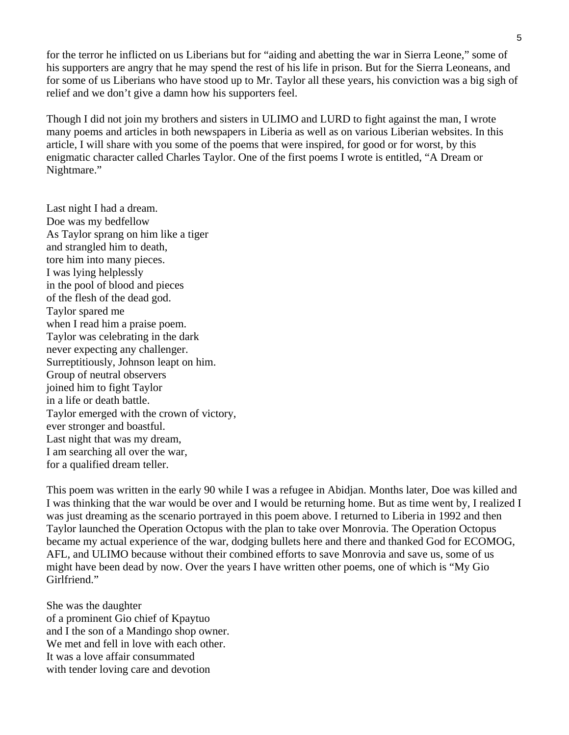for the terror he inflicted on us Liberians but for "aiding and abetting the war in Sierra Leone," some of his supporters are angry that he may spend the rest of his life in prison. But for the Sierra Leoneans, and for some of us Liberians who have stood up to Mr. Taylor all these years, his conviction was a big sigh of relief and we don't give a damn how his supporters feel.

Though I did not join my brothers and sisters in ULIMO and LURD to fight against the man, I wrote many poems and articles in both newspapers in Liberia as well as on various Liberian websites. In this article, I will share with you some of the poems that were inspired, for good or for worst, by this enigmatic character called Charles Taylor. One of the first poems I wrote is entitled, "A Dream or Nightmare."

Last night I had a dream. Doe was my bedfellow As Taylor sprang on him like a tiger and strangled him to death, tore him into many pieces. I was lying helplessly in the pool of blood and pieces of the flesh of the dead god. Taylor spared me when I read him a praise poem. Taylor was celebrating in the dark never expecting any challenger. Surreptitiously, Johnson leapt on him. Group of neutral observers joined him to fight Taylor in a life or death battle. Taylor emerged with the crown of victory, ever stronger and boastful. Last night that was my dream, I am searching all over the war, for a qualified dream teller.

This poem was written in the early 90 while I was a refugee in Abidjan. Months later, Doe was killed and I was thinking that the war would be over and I would be returning home. But as time went by, I realized I was just dreaming as the scenario portrayed in this poem above. I returned to Liberia in 1992 and then Taylor launched the Operation Octopus with the plan to take over Monrovia. The Operation Octopus became my actual experience of the war, dodging bullets here and there and thanked God for ECOMOG, AFL, and ULIMO because without their combined efforts to save Monrovia and save us, some of us might have been dead by now. Over the years I have written other poems, one of which is "My Gio Girlfriend."

She was the daughter of a prominent Gio chief of Kpaytuo and I the son of a Mandingo shop owner. We met and fell in love with each other. It was a love affair consummated with tender loving care and devotion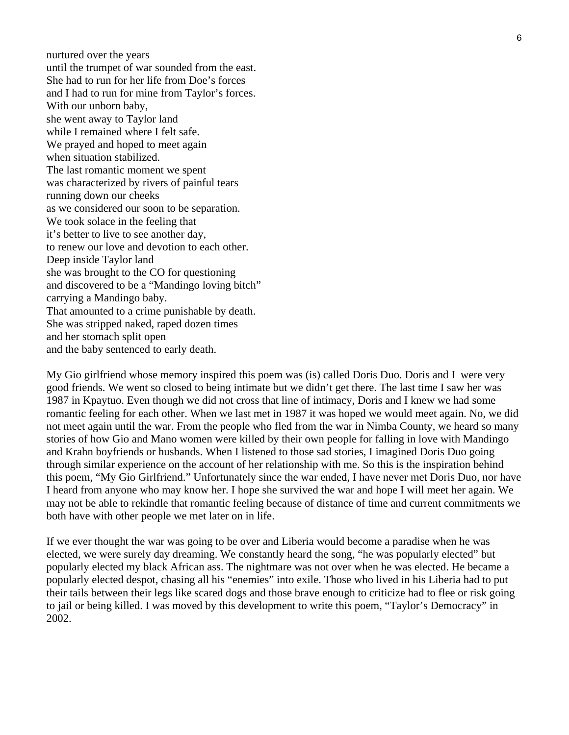nurtured over the years until the trumpet of war sounded from the east. She had to run for her life from Doe's forces and I had to run for mine from Taylor's forces. With our unborn baby, she went away to Taylor land while I remained where I felt safe. We prayed and hoped to meet again when situation stabilized. The last romantic moment we spent was characterized by rivers of painful tears running down our cheeks as we considered our soon to be separation. We took solace in the feeling that it's better to live to see another day, to renew our love and devotion to each other. Deep inside Taylor land she was brought to the CO for questioning and discovered to be a "Mandingo loving bitch" carrying a Mandingo baby. That amounted to a crime punishable by death. She was stripped naked, raped dozen times and her stomach split open and the baby sentenced to early death.

My Gio girlfriend whose memory inspired this poem was (is) called Doris Duo. Doris and I were very good friends. We went so closed to being intimate but we didn't get there. The last time I saw her was 1987 in Kpaytuo. Even though we did not cross that line of intimacy, Doris and I knew we had some romantic feeling for each other. When we last met in 1987 it was hoped we would meet again. No, we did not meet again until the war. From the people who fled from the war in Nimba County, we heard so many stories of how Gio and Mano women were killed by their own people for falling in love with Mandingo and Krahn boyfriends or husbands. When I listened to those sad stories, I imagined Doris Duo going through similar experience on the account of her relationship with me. So this is the inspiration behind this poem, "My Gio Girlfriend." Unfortunately since the war ended, I have never met Doris Duo, nor have I heard from anyone who may know her. I hope she survived the war and hope I will meet her again. We may not be able to rekindle that romantic feeling because of distance of time and current commitments we both have with other people we met later on in life.

If we ever thought the war was going to be over and Liberia would become a paradise when he was elected, we were surely day dreaming. We constantly heard the song, "he was popularly elected" but popularly elected my black African ass. The nightmare was not over when he was elected. He became a popularly elected despot, chasing all his "enemies" into exile. Those who lived in his Liberia had to put their tails between their legs like scared dogs and those brave enough to criticize had to flee or risk going to jail or being killed. I was moved by this development to write this poem, "Taylor's Democracy" in 2002.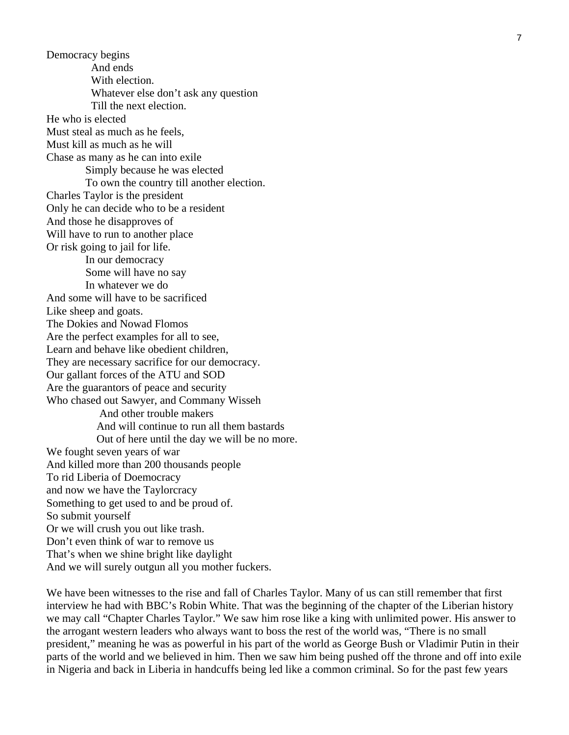Democracy begins And ends With election. Whatever else don't ask any question Till the next election. He who is elected Must steal as much as he feels, Must kill as much as he will Chase as many as he can into exile Simply because he was elected To own the country till another election. Charles Taylor is the president Only he can decide who to be a resident And those he disapproves of Will have to run to another place Or risk going to jail for life. In our democracy Some will have no say In whatever we do And some will have to be sacrificed Like sheep and goats. The Dokies and Nowad Flomos Are the perfect examples for all to see, Learn and behave like obedient children, They are necessary sacrifice for our democracy. Our gallant forces of the ATU and SOD Are the guarantors of peace and security Who chased out Sawyer, and Commany Wisseh And other trouble makers And will continue to run all them bastards Out of here until the day we will be no more. We fought seven years of war And killed more than 200 thousands people To rid Liberia of Doemocracy and now we have the Taylorcracy Something to get used to and be proud of. So submit yourself Or we will crush you out like trash. Don't even think of war to remove us That's when we shine bright like daylight And we will surely outgun all you mother fuckers.

We have been witnesses to the rise and fall of Charles Taylor. Many of us can still remember that first interview he had with BBC's Robin White. That was the beginning of the chapter of the Liberian history we may call "Chapter Charles Taylor." We saw him rose like a king with unlimited power. His answer to the arrogant western leaders who always want to boss the rest of the world was, "There is no small president," meaning he was as powerful in his part of the world as George Bush or Vladimir Putin in their parts of the world and we believed in him. Then we saw him being pushed off the throne and off into exile in Nigeria and back in Liberia in handcuffs being led like a common criminal. So for the past few years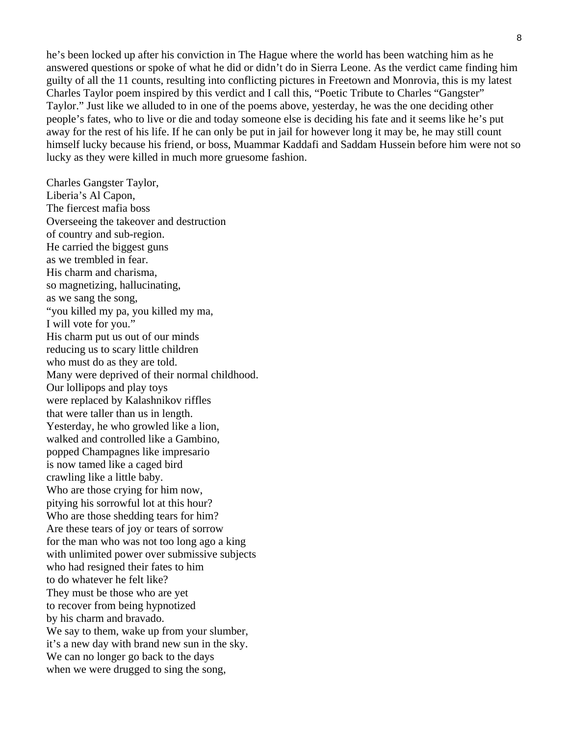he's been locked up after his conviction in The Hague where the world has been watching him as he answered questions or spoke of what he did or didn't do in Sierra Leone. As the verdict came finding him guilty of all the 11 counts, resulting into conflicting pictures in Freetown and Monrovia, this is my latest Charles Taylor poem inspired by this verdict and I call this, "Poetic Tribute to Charles "Gangster" Taylor." Just like we alluded to in one of the poems above, yesterday, he was the one deciding other people's fates, who to live or die and today someone else is deciding his fate and it seems like he's put away for the rest of his life. If he can only be put in jail for however long it may be, he may still count himself lucky because his friend, or boss, Muammar Kaddafi and Saddam Hussein before him were not so lucky as they were killed in much more gruesome fashion.

Charles Gangster Taylor, Liberia's Al Capon, The fiercest mafia boss Overseeing the takeover and destruction of country and sub-region. He carried the biggest guns as we trembled in fear. His charm and charisma, so magnetizing, hallucinating, as we sang the song, "you killed my pa, you killed my ma, I will vote for you." His charm put us out of our minds reducing us to scary little children who must do as they are told. Many were deprived of their normal childhood. Our lollipops and play toys were replaced by Kalashnikov riffles that were taller than us in length. Yesterday, he who growled like a lion, walked and controlled like a Gambino, popped Champagnes like impresario is now tamed like a caged bird crawling like a little baby. Who are those crying for him now, pitying his sorrowful lot at this hour? Who are those shedding tears for him? Are these tears of joy or tears of sorrow for the man who was not too long ago a king with unlimited power over submissive subjects who had resigned their fates to him to do whatever he felt like? They must be those who are yet to recover from being hypnotized by his charm and bravado. We say to them, wake up from your slumber, it's a new day with brand new sun in the sky. We can no longer go back to the days when we were drugged to sing the song,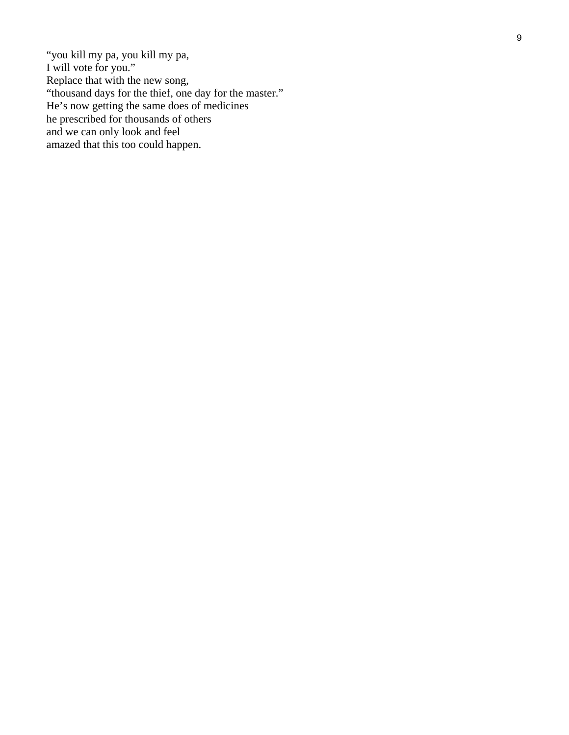"you kill my pa, you kill my pa, I will vote for you." Replace that with the new song, "thousand days for the thief, one day for the master." He's now getting the same does of medicines he prescribed for thousands of others and we can only look and feel amazed that this too could happen.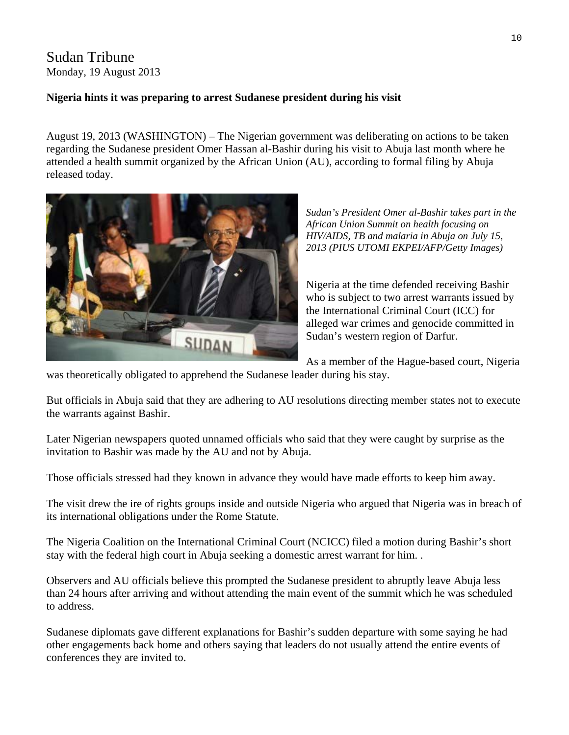# Sudan Tribune Monday, 19 August 2013

#### **Nigeria hints it was preparing to arrest Sudanese president during his visit**

August 19, 2013 (WASHINGTON) – The Nigerian government was deliberating on actions to be taken regarding the Sudanese president Omer Hassan al-Bashir during his visit to Abuja last month where he attended a health summit organized by the African Union (AU), according to formal [filing](http://www.icc-cpi.int/iccdocs/doc/doc1632875.pdf) by Abuja released today.



*Sudan's President Omer al-Bashir takes part in the African Union Summit on health focusing on HIV/AIDS, TB and malaria in Abuja on July 15, 2013 (PIUS UTOMI EKPEI/AFP/Getty Images)* 

Nigeria at the time defended receiving Bashir who is subject to two arrest warrants issued by the International Criminal Court (ICC) for alleged war crimes and genocide committed in Sudan's western region of Darfur.

As a member of the Hague-based court, Nigeria

was theoretically obligated to apprehend the Sudanese leader during his stay.

But officials in Abuja said that they are adhering to AU resolutions directing member states not to execute the warrants against Bashir.

Later Nigerian newspapers quoted unnamed officials who said that they were caught by surprise as the invitation to Bashir was made by the AU and not by Abuja.

Those officials stressed had they known in advance they would have made efforts to keep him away.

The visit drew the ire of rights groups inside and outside Nigeria who argued that Nigeria was in breach of its international obligations under the Rome Statute.

The Nigeria Coalition on the International Criminal Court (NCICC) filed a motion during Bashir's short stay with the federal high court in Abuja seeking a domestic arrest warrant for him. .

Observers and AU officials believe this prompted the Sudanese president to abruptly leave Abuja less than 24 hours after arriving and without attending the main event of the summit which he was scheduled to address.

Sudanese diplomats gave different explanations for Bashir's sudden departure with some saying he had other engagements back home and others saying that leaders do not usually attend the entire events of conferences they are invited to.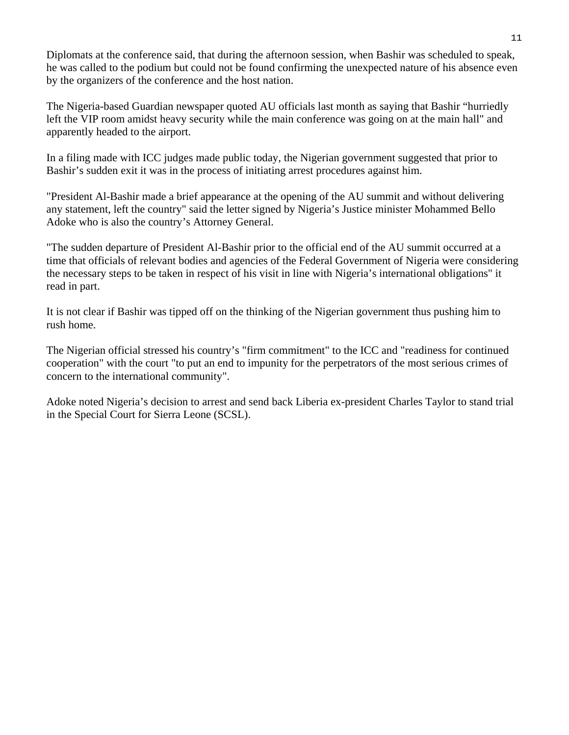Diplomats at the conference said, that during the afternoon session, when Bashir was scheduled to speak, he was called to the podium but could not be found confirming the unexpected nature of his absence even by the organizers of the conference and the host nation.

The Nigeria-based Guardian newspaper quoted AU officials last month as saying that Bashir "hurriedly left the VIP room amidst heavy security while the main conference was going on at the main hall" and apparently headed to the airport.

In a filing made with ICC judges made public today, the Nigerian government suggested that prior to Bashir's sudden exit it was in the process of initiating arrest procedures against him.

"President Al-Bashir made a brief appearance at the opening of the AU summit and without delivering any statement, left the country" said the letter signed by Nigeria's Justice minister Mohammed Bello Adoke who is also the country's Attorney General.

"The sudden departure of President Al-Bashir prior to the official end of the AU summit occurred at a time that officials of relevant bodies and agencies of the Federal Government of Nigeria were considering the necessary steps to be taken in respect of his visit in line with Nigeria's international obligations" it read in part.

It is not clear if Bashir was tipped off on the thinking of the Nigerian government thus pushing him to rush home.

The Nigerian official stressed his country's "firm commitment" to the ICC and "readiness for continued cooperation" with the court "to put an end to impunity for the perpetrators of the most serious crimes of concern to the international community".

Adoke noted Nigeria's decision to arrest and send back Liberia ex-president Charles Taylor to stand trial in the Special Court for Sierra Leone (SCSL).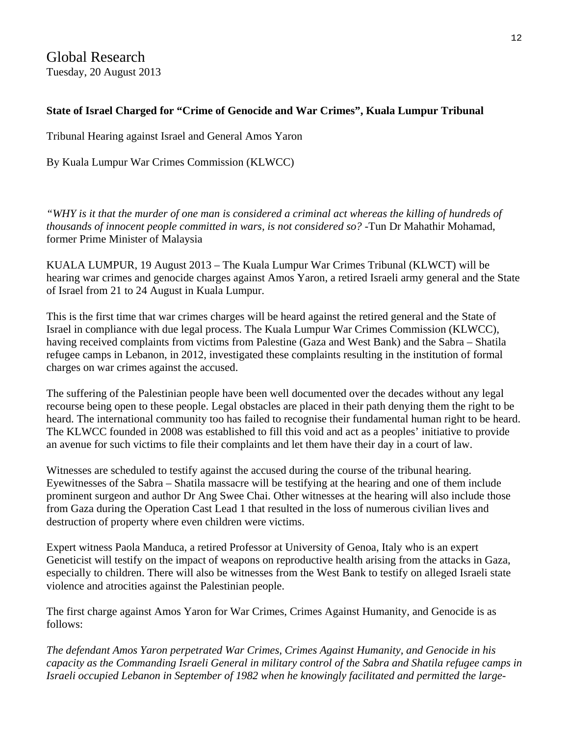Global Research Tuesday, 20 August 2013

#### **State of Israel Charged for "Crime of Genocide and War Crimes", Kuala Lumpur Tribunal**

Tribunal Hearing against Israel and General Amos Yaron

By [Kuala Lumpur War Crimes Commission \(KLWCC\)](http://www.globalresearch.ca/author/kuala-lumpur-war-crimes-commission-klwcc) 

*"WHY is it that the murder of one man is considered a criminal act whereas the killing of hundreds of thousands of innocent people committed in wars, is not considered so?* -Tun Dr Mahathir Mohamad, former Prime Minister of Malaysia

KUALA LUMPUR, 19 August 2013 – The Kuala Lumpur War Crimes Tribunal (KLWCT) will be hearing war crimes and genocide charges against Amos Yaron, a retired Israeli army general and the State of Israel from 21 to 24 August in Kuala Lumpur.

This is the first time that war crimes charges will be heard against the retired general and the State of Israel in compliance with due legal process. The Kuala Lumpur War Crimes Commission (KLWCC), having received complaints from victims from Palestine (Gaza and West Bank) and the Sabra – Shatila refugee camps in Lebanon, in 2012, investigated these complaints resulting in the institution of formal charges on war crimes against the accused.

The suffering of the Palestinian people have been well documented over the decades without any legal recourse being open to these people. Legal obstacles are placed in their path denying them the right to be heard. The international community too has failed to recognise their fundamental human right to be heard. The KLWCC founded in 2008 was established to fill this void and act as a peoples' initiative to provide an avenue for such victims to file their complaints and let them have their day in a court of law.

Witnesses are scheduled to testify against the accused during the course of the tribunal hearing. Eyewitnesses of the Sabra – Shatila massacre will be testifying at the hearing and one of them include prominent surgeon and author Dr Ang Swee Chai. Other witnesses at the hearing will also include those from Gaza during the Operation Cast Lead 1 that resulted in the loss of numerous civilian lives and destruction of property where even children were victims.

Expert witness Paola Manduca, a retired Professor at University of Genoa, Italy who is an expert Geneticist will testify on the impact of weapons on reproductive health arising from the attacks in Gaza, especially to children. There will also be witnesses from the West Bank to testify on alleged Israeli state violence and atrocities against the Palestinian people.

The first charge against Amos Yaron for War Crimes, Crimes Against Humanity, and Genocide is as follows:

*The defendant Amos Yaron perpetrated War Crimes, Crimes Against Humanity, and Genocide in his capacity as the Commanding Israeli General in military control of the Sabra and Shatila refugee camps in Israeli occupied Lebanon in September of 1982 when he knowingly facilitated and permitted the large-*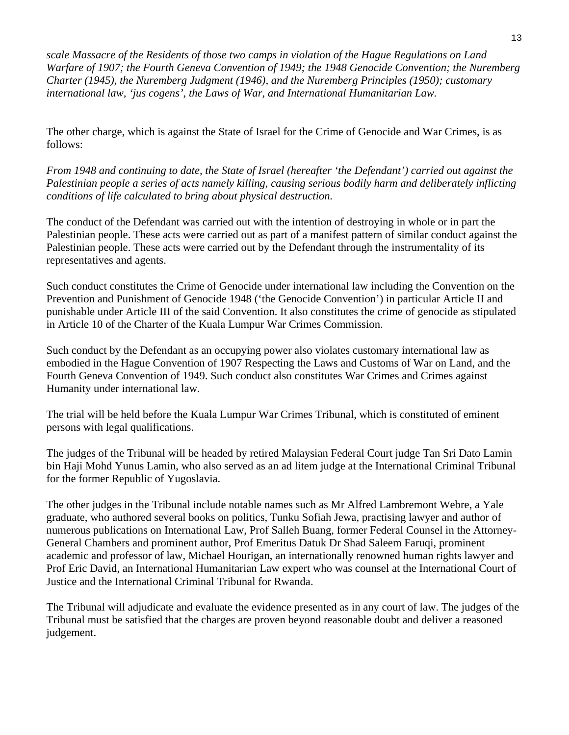*scale Massacre of the Residents of those two camps in violation of the Hague Regulations on Land Warfare of 1907; the Fourth Geneva Convention of 1949; the 1948 Genocide Convention; the Nuremberg Charter (1945), the Nuremberg Judgment (1946), and the Nuremberg Principles (1950); customary international law, 'jus cogens', the Laws of War, and International Humanitarian Law.*

The other charge, which is against the State of Israel for the Crime of Genocide and War Crimes, is as follows:

*From 1948 and continuing to date, the State of Israel (hereafter 'the Defendant') carried out against the Palestinian people a series of acts namely killing, causing serious bodily harm and deliberately inflicting conditions of life calculated to bring about physical destruction.*

The conduct of the Defendant was carried out with the intention of destroying in whole or in part the Palestinian people. These acts were carried out as part of a manifest pattern of similar conduct against the Palestinian people. These acts were carried out by the Defendant through the instrumentality of its representatives and agents.

Such conduct constitutes the Crime of Genocide under international law including the Convention on the Prevention and Punishment of Genocide 1948 ('the Genocide Convention') in particular Article II and punishable under Article III of the said Convention. It also constitutes the crime of genocide as stipulated in Article 10 of the Charter of the Kuala Lumpur War Crimes Commission.

Such conduct by the Defendant as an occupying power also violates customary international law as embodied in the Hague Convention of 1907 Respecting the Laws and Customs of War on Land, and the Fourth Geneva Convention of 1949. Such conduct also constitutes War Crimes and Crimes against Humanity under international law.

The trial will be held before the Kuala Lumpur War Crimes Tribunal, which is constituted of eminent persons with legal qualifications.

The judges of the Tribunal will be headed by retired Malaysian Federal Court judge Tan Sri Dato Lamin bin Haji Mohd Yunus Lamin, who also served as an ad litem judge at the International Criminal Tribunal for the former Republic of Yugoslavia.

The other judges in the Tribunal include notable names such as Mr Alfred Lambremont Webre, a Yale graduate, who authored several books on politics, Tunku Sofiah Jewa, practising lawyer and author of numerous publications on International Law, Prof Salleh Buang, former Federal Counsel in the Attorney-General Chambers and prominent author, Prof Emeritus Datuk Dr Shad Saleem Faruqi, prominent academic and professor of law, Michael Hourigan, an internationally renowned human rights lawyer and Prof Eric David, an International Humanitarian Law expert who was counsel at the International Court of Justice and the International Criminal Tribunal for Rwanda.

The Tribunal will adjudicate and evaluate the evidence presented as in any court of law. The judges of the Tribunal must be satisfied that the charges are proven beyond reasonable doubt and deliver a reasoned judgement.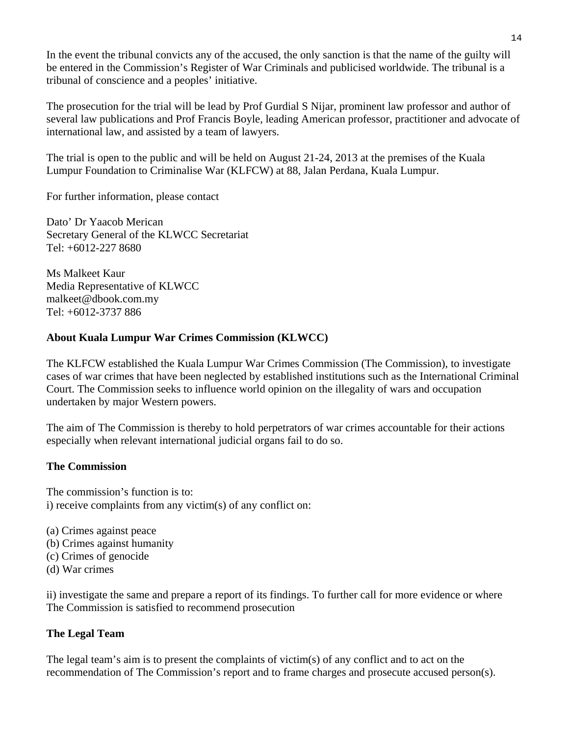In the event the tribunal convicts any of the accused, the only sanction is that the name of the guilty will be entered in the Commission's Register of War Criminals and publicised worldwide. The tribunal is a tribunal of conscience and a peoples' initiative.

The prosecution for the trial will be lead by Prof Gurdial S Nijar, prominent law professor and author of several law publications and Prof Francis Boyle, leading American professor, practitioner and advocate of international law, and assisted by a team of lawyers.

The trial is open to the public and will be held on August 21-24, 2013 at the premises of the Kuala Lumpur Foundation to Criminalise War (KLFCW) at 88, Jalan Perdana, Kuala Lumpur.

For further information, please contact

Dato' Dr Yaacob Merican Secretary General of the KLWCC Secretariat Tel: +6012-227 8680

Ms Malkeet Kaur Media Representative of KLWCC malkeet@dbook.com.my Tel: +6012-3737 886

#### **About Kuala Lumpur War Crimes Commission (KLWCC)**

The KLFCW established the Kuala Lumpur War Crimes Commission (The Commission), to investigate cases of war crimes that have been neglected by established institutions such as the International Criminal Court. The Commission seeks to influence world opinion on the illegality of wars and occupation undertaken by major Western powers.

The aim of The Commission is thereby to hold perpetrators of war crimes accountable for their actions especially when relevant international judicial organs fail to do so.

#### **The Commission**

The commission's function is to: i) receive complaints from any victim(s) of any conflict on:

- (a) Crimes against peace
- (b) Crimes against humanity
- (c) Crimes of genocide
- (d) War crimes

ii) investigate the same and prepare a report of its findings. To further call for more evidence or where The Commission is satisfied to recommend prosecution

#### **The Legal Team**

The legal team's aim is to present the complaints of victim(s) of any conflict and to act on the recommendation of The Commission's report and to frame charges and prosecute accused person(s).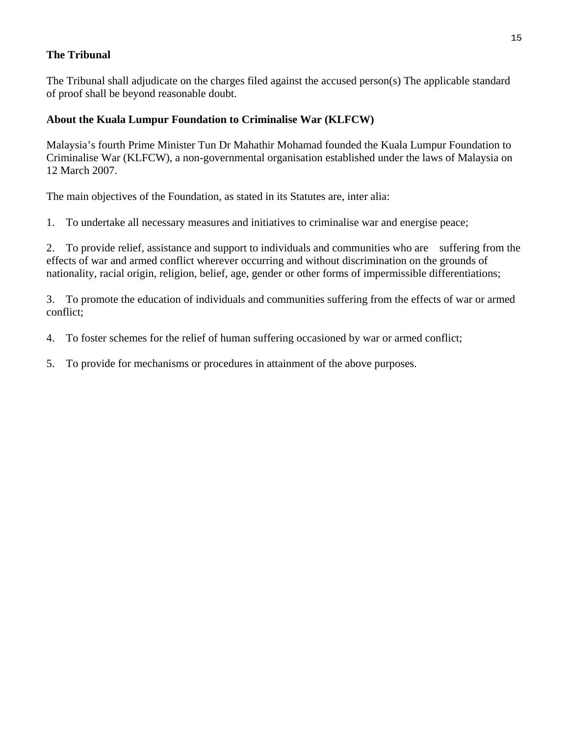#### **The Tribunal**

The Tribunal shall adjudicate on the charges filed against the accused person(s) The applicable standard of proof shall be beyond reasonable doubt.

#### **About the Kuala Lumpur Foundation to Criminalise War (KLFCW)**

Malaysia's fourth Prime Minister Tun Dr Mahathir Mohamad founded the Kuala Lumpur Foundation to Criminalise War (KLFCW), a non-governmental organisation established under the laws of Malaysia on 12 March 2007.

The main objectives of the Foundation, as stated in its Statutes are, inter alia:

1. To undertake all necessary measures and initiatives to criminalise war and energise peace;

2. To provide relief, assistance and support to individuals and communities who are suffering from the effects of war and armed conflict wherever occurring and without discrimination on the grounds of nationality, racial origin, religion, belief, age, gender or other forms of impermissible differentiations;

3. To promote the education of individuals and communities suffering from the effects of war or armed conflict;

4. To foster schemes for the relief of human suffering occasioned by war or armed conflict;

5. To provide for mechanisms or procedures in attainment of the above purposes.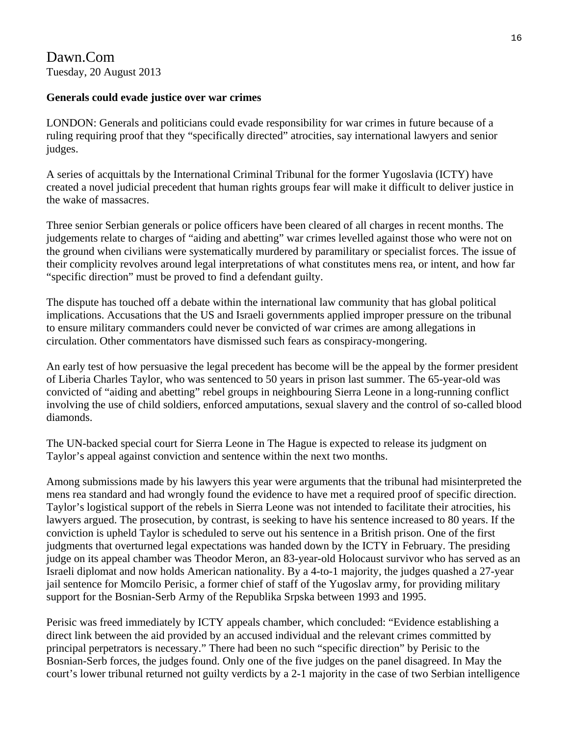## Dawn.Com Tuesday, 20 August 2013

#### **Generals could evade justice over war crimes**

LONDON: Generals and politicians could evade responsibility for war crimes in future because of a ruling requiring proof that they "specifically directed" atrocities, say international lawyers and senior judges.

A series of acquittals by the International Criminal Tribunal for the former Yugoslavia (ICTY) have created a novel judicial precedent that human rights groups fear will make it difficult to deliver justice in the wake of massacres.

Three senior Serbian generals or police officers have been cleared of all charges in recent months. The judgements relate to charges of "aiding and abetting" war crimes levelled against those who were not on the ground when civilians were systematically murdered by paramilitary or specialist forces. The issue of their complicity revolves around legal interpretations of what constitutes mens rea, or intent, and how far "specific direction" must be proved to find a defendant guilty.

The dispute has touched off a debate within the international law community that has global political implications. Accusations that the US and Israeli governments applied improper pressure on the tribunal to ensure military commanders could never be convicted of war crimes are among allegations in circulation. Other commentators have dismissed such fears as conspiracy-mongering.

An early test of how persuasive the legal precedent has become will be the appeal by the former president of Liberia Charles Taylor, who was sentenced to 50 years in prison last summer. The 65-year-old was convicted of "aiding and abetting" rebel groups in neighbouring Sierra Leone in a long-running conflict involving the use of child soldiers, enforced amputations, sexual slavery and the control of so-called blood diamonds.

The UN-backed special court for Sierra Leone in The Hague is expected to release its judgment on Taylor's appeal against conviction and sentence within the next two months.

Among submissions made by his lawyers this year were arguments that the tribunal had misinterpreted the mens rea standard and had wrongly found the evidence to have met a required proof of specific direction. Taylor's logistical support of the rebels in Sierra Leone was not intended to facilitate their atrocities, his lawyers argued. The prosecution, by contrast, is seeking to have his sentence increased to 80 years. If the conviction is upheld Taylor is scheduled to serve out his sentence in a British prison. One of the first judgments that overturned legal expectations was handed down by the ICTY in February. The presiding judge on its appeal chamber was Theodor Meron, an 83-year-old Holocaust survivor who has served as an Israeli diplomat and now holds American nationality. By a 4-to-1 majority, the judges quashed a 27-year jail sentence for Momcilo Perisic, a former chief of staff of the Yugoslav army, for providing military support for the Bosnian-Serb Army of the Republika Srpska between 1993 and 1995.

Perisic was freed immediately by ICTY appeals chamber, which concluded: "Evidence establishing a direct link between the aid provided by an accused individual and the relevant crimes committed by principal perpetrators is necessary." There had been no such "specific direction" by Perisic to the Bosnian-Serb forces, the judges found. Only one of the five judges on the panel disagreed. In May the court's lower tribunal returned not guilty verdicts by a 2-1 majority in the case of two Serbian intelligence